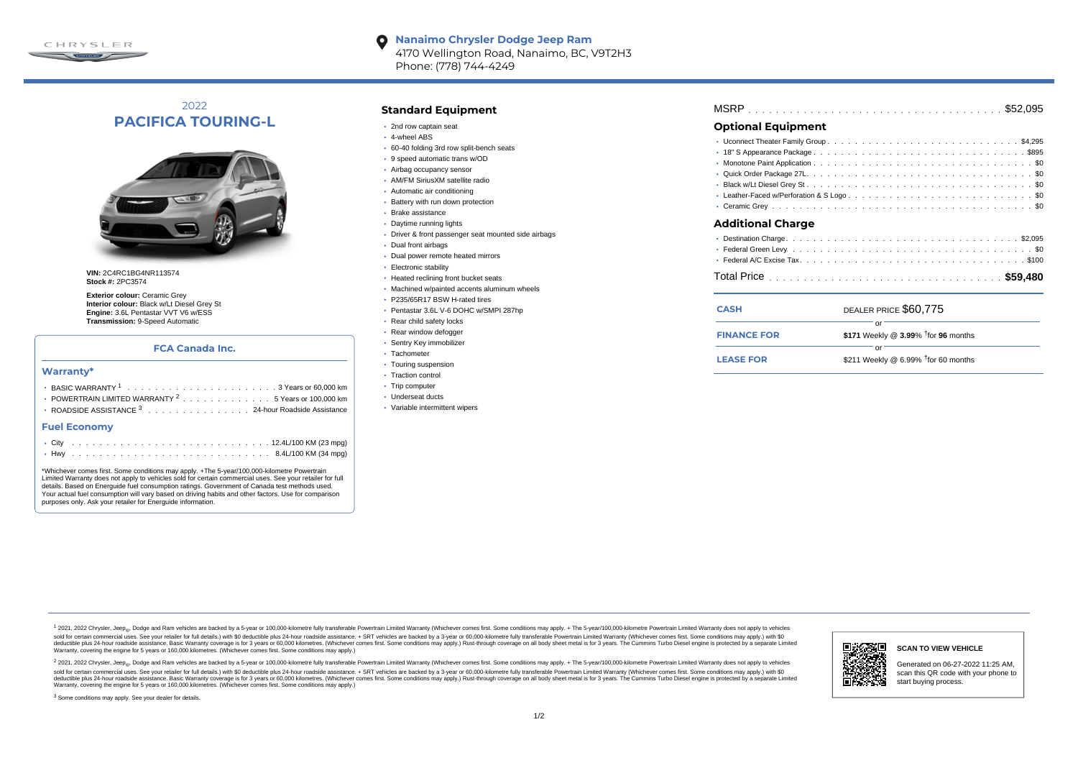

### **Nanaimo Chrysler Dodge Jeep Ram**  $\bullet$ 4170 Wellington Road, Nanaimo, BC, V9T2H3 Phone: (778) 744-4249

# 2022 **PACIFICA TOURING-L**



**VIN:** 2C4RC1BG4NR113574 **Stock #:** 2PC3574

**Exterior colour:** Ceramic Grey **Interior colour:** Black w/Lt Diesel Grey St **Engine:** 3.6L Pentastar VVT V6 w/ESS **Transmission:** 9-Speed Automatic

# **FCA Canada Inc.**

## **Warranty\***

| <b>• POWERTRAIN LIMITED WARRANTY <math>^{2}</math>, , , , , , , , , , , , , , 5 Years or 100.000 km</b> |
|---------------------------------------------------------------------------------------------------------|
| • ROADSIDE ASSISTANCE 3 24-hour Roadside Assistance                                                     |

### **Fuel Economy**

\*Whichever comes first. Some conditions may apply. +The 5-year/100,000-kilometre Powertrain Limited Warranty does not apply to vehicles sold for certain commercial uses. See your retailer for full details. Based on Energuide fuel consumption ratings. Government of Canada test methods used. Your actual fuel consumption will vary based on driving habits and other factors. Use for comparison purposes only. Ask your retailer for Energuide information.

## **Standard Equipment**

- 2nd row captain seat
- 4-wheel ABS
- 60-40 folding 3rd row split-bench seats
- 9 speed automatic trans w/OD
- Airbag occupancy sensor
- AM/FM SiriusXM satellite radio
- Automatic air conditioning
- Battery with run down protection
- Brake assistance
- Daytime running lights
- Driver & front passenger seat mounted side airbags
- Dual front airbags
- Dual power remote heated mirrors
- Electronic stability
- Heated reclining front bucket seats
- Machined w/painted accents aluminum wheels
- P235/65R17 BSW H-rated tires
- Pentastar 3.6L V-6 DOHC w/SMPI 287hp
- Rear child safety locks
- Rear window defogger
- Sentry Key immobilizer
- · Tachometer
- Touring suspension
- Traction control
- Trip computer
- Underseat ducts
- Variable intermittent wipers

# . . . . . . . . . . . . . . . . . . . . . . . . . . . . . . . . . . . . . . . . . . . . . . MSRP \$52,095

# **Optional Equipment**

| Additional Charge                   |
|-------------------------------------|
| Destination Charge<br><b>CO ODE</b> |

| <b>CASH</b>        | DEALER PRICE \$60,775                              |  |
|--------------------|----------------------------------------------------|--|
| <b>FINANCE FOR</b> | \$171 Weekly @ $3.99\%$ <sup>†</sup> for 96 months |  |
| <b>LEASE FOR</b>   | nr<br>\$211 Weekly @ 6.99% $†$ for 60 months       |  |

1 2021, 2022 Chrysler, Jeep.... Dodge and Ram vehicles are backed by a 5-year or 100,000-kilometre fully transferable Powertrain Limited Warranty (Whichever comes first. Some conditions may apply. + The 5-year/100,000-kilo sold for certain commercial uses. See your retailer for full details.) with \$0 deductible plus 24-hour roadside assistance. + SRT vehicles are backed by a 3-year or 60.000-kilometre fully transferable Powertrain Limited Wa detuctible plus 24-hour roadside assistance. Basic Warranty coverage is for 3 years or 60,000 kilometres. Whichever comes first. Some conditions may apply.) Rust-through coverage on all body sheet metals for 3 years. The C Warranty, covering the engine for 5 years or 160,000 kilometres. (Whichever comes first. Some conditions may apply.)

<sup>2</sup> 2021, 2022 Chrysler, Jeep<sub>®</sub>, Dodge and Ram vehicles are backed by a 5-year or 100,000-kilometre fully transferable Powertrain Limited Warranty (Whichever comes first. Some conditions may apply. + The 5-year/100,000-ki sold for certain commercial uses. See your retailer for full details.) with \$0 deductible plus 24-hour roadside assistance. + SRT vehicles are backed by a 3-year or 60.000-kilometre fully transferable Powertrain Limited Wa deductible plus 24-hour roadside assistance. Basic Warranty coverage is for 3 years or 60,000 kilometres. (Whichever comes first. Some conditions may apply.) Rust-through coverage on all body sheet metal is for 3 years. Th



## **SCAN TO VIEW VEHICLE**

Generated on 06-27-2022 11:25 AM, scan this QR code with your phone to start buying process.

<sup>3</sup> Some conditions may apply. See your dealer for details.